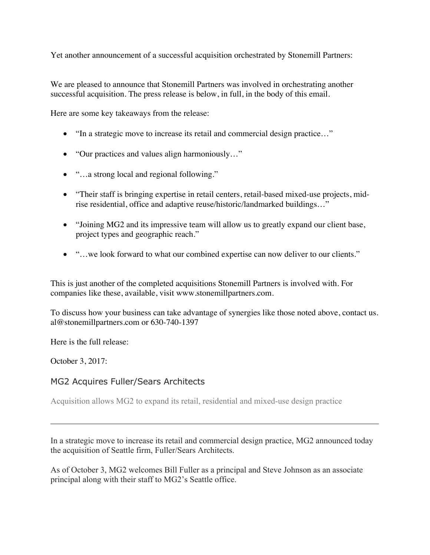Yet another announcement of a successful acquisition orchestrated by Stonemill Partners:

We are pleased to announce that Stonemill Partners was involved in orchestrating another successful acquisition. The press release is below, in full, in the body of this email.

Here are some key takeaways from the release:

- "In a strategic move to increase its retail and commercial design practice..."
- "Our practices and values align harmoniously..."
- "...a strong local and regional following."
- "Their staff is bringing expertise in retail centers, retail-based mixed-use projects, midrise residential, office and adaptive reuse/historic/landmarked buildings…"
- "Joining MG2 and its impressive team will allow us to greatly expand our client base, project types and geographic reach."
- "...we look forward to what our combined expertise can now deliver to our clients."

This is just another of the completed acquisitions Stonemill Partners is involved with. For companies like these, available, visit www.stonemillpartners.com.

To discuss how your business can take advantage of synergies like those noted above, contact us. al@stonemillpartners.com or 630-740-1397

Here is the full release:

October 3, 2017:

## MG2 Acquires Fuller/Sears Architects

Acquisition allows MG2 to expand its retail, residential and mixed-use design practice

In a strategic move to increase its retail and commercial design practice, MG2 announced today the acquisition of Seattle firm, Fuller/Sears Architects.

As of October 3, MG2 welcomes Bill Fuller as a principal and Steve Johnson as an associate principal along with their staff to MG2's Seattle office.